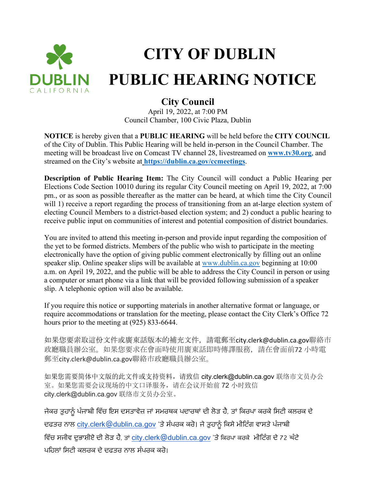

## **CITY OF DUBLIN PUBLIC HEARING NOTICE**

## **City Council**

April 19, 2022, at 7:00 PM Council Chamber, 100 Civic Plaza, Dublin

**NOTICE** is hereby given that a **PUBLIC HEARING** will be held before the **CITY COUNCIL** of the City of Dublin. This Public Hearing will be held in-person in the Council Chamber. The meeting will be broadcast live on Comcast TV channel 28, livestreamed on **[www.tv30.org](http://www.tv30.org/)**, and streamed on the City's website at **<https://dublin.ca.gov/ccmeetings>**.

**Description of Public Hearing Item:** The City Council will conduct a Public Hearing per Elections Code Section 10010 during its regular City Council meeting on April 19, 2022, at 7:00 pm., or as soon as possible thereafter as the matter can be heard, at which time the City Council will 1) receive a report regarding the process of transitioning from an at-large election system of electing Council Members to a district-based election system; and 2) conduct a public hearing to receive public input on communities of interest and potential composition of district boundaries.

You are invited to attend this meeting in-person and provide input regarding the composition of the yet to be formed districts. Members of the public who wish to participate in the meeting electronically have the option of giving public comment electronically by filling out an online speaker slip. Online speaker slips will be available at [www.dublin.ca.gov](http://www.dublin.ca.gov/) beginning at 10:00 a.m. on April 19, 2022, and the public will be able to address the City Council in person or using a computer or smart phone via a link that will be provided following submission of a speaker slip. A telephonic option will also be available.

If you require this notice or supporting materials in another alternative format or language, or require accommodations or translation for the meeting, please contact the City Clerk's Office 72 hours prior to the meeting at (925) 833-6644.

如果您要索取這份文件或廣東話版本的補充文件,請電郵至city.clerk@dublin.ca.gov聯絡市 政廳職員辦公室。如果您要求在會面時使用廣東話即時傳譯服務,請在會面前72 小時電 郵至city.clerk@dublin.ca.gov聯絡市政廳職員辦公室。

如果您需要简体中文版的此文件或支持资料,请致信 city.clerk@dublin.ca.gov 联络市文员办公 室。如果您需要会议现场的中文口译服务,请在会议开始前 72 小时致信 city.clerk@dublin.ca.gov 联络市文员办公室。

ਜੇਕਰ ਤੁਹਾਨੂੰ ਪੰਜਾਬੀ ਵਿੱਚ ਇਸ ਦਸਤਾਵੇਜ਼ ਜਾਂ ਸਮਰਥਕ ਪਦਾਰਥਾਂ ਦੀ ਲੋੜ ਹੈ, ਤਾਂ ਕਿਰਪਾ ਕਰਕੇ ਸਿਟੀ ਕਲਰਕ ਦੇ ਦਫਤਰ ਨਾਲ [city.clerk@dublin.ca.gov](mailto:city.clerk@dublin.ca.gov) 'ਤੇ ਸੰਪਰਕ ਕਰੋ। ਜੇ ਤੁਹਾਨੂੰ ਕਿਸੇ ਮੀਟਿੰਗ ਵਾਸਤੇ ਪੰਜਾਬੀ ਵਿੱਚ ਸਜੀਵ ਦੁਭਾਸ਼ੀਏ ਦੀ ਲੋੜ ਹੈ, ਤਾਂ [city.clerk@dublin.ca.gov](mailto:city.clerk@dublin.ca.gov) 'ਤੇ ਕਿਰਪਾ ਕਰਕੇ ਮੀਟਿੰਗ ਦੇ 72 ਘੰਟੇ ਪਹਿਲਾਂ ਸਿਟੀ ਕਲਰਕ ਦੇ ਦਫਤਰ ਨਾਲ ਸੰਪਰਕ ਕਰੋ।